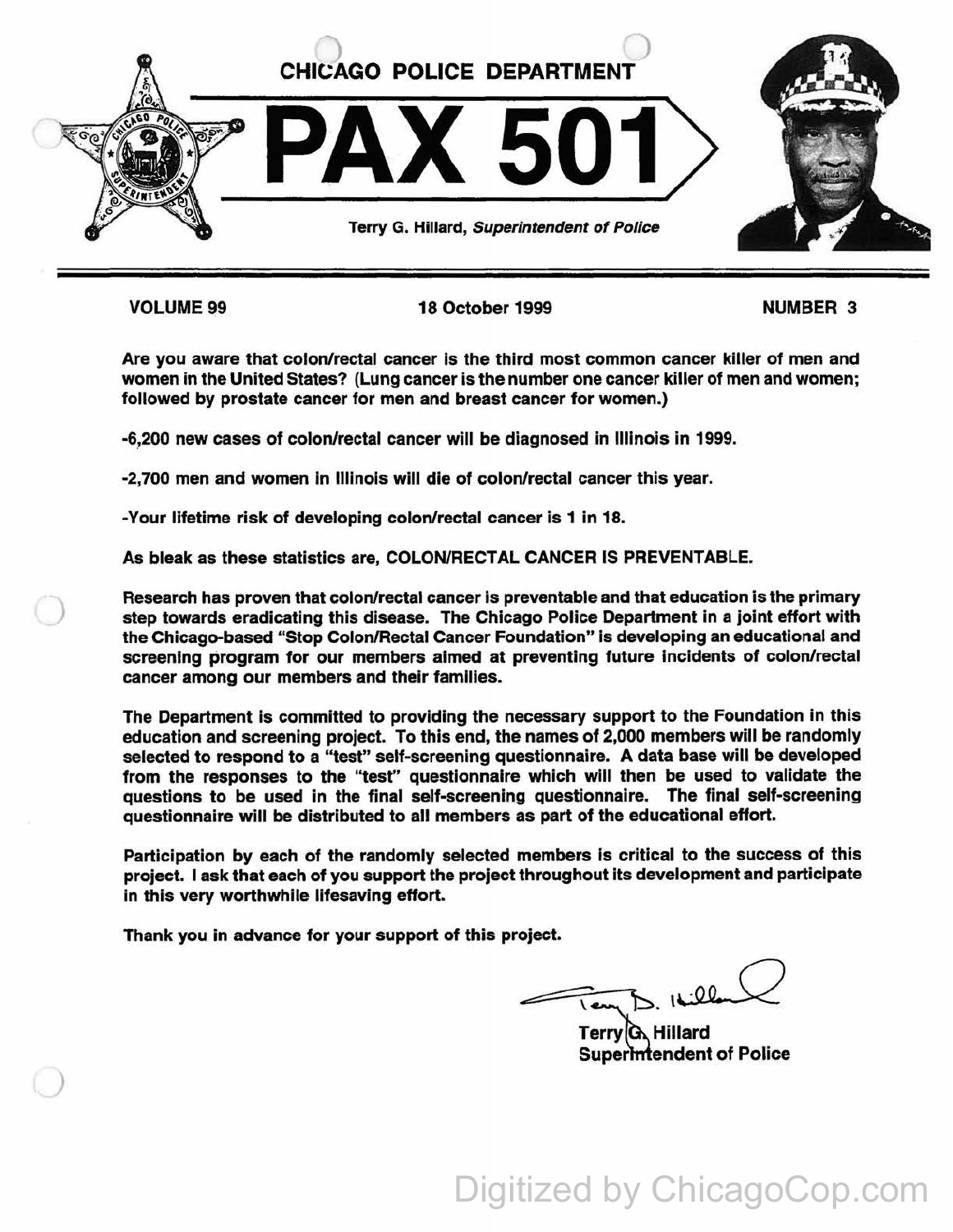

)

)

VOLUME99 18 October 1999 NUMBER 3

Are you aware that colon/rectal cancer is the third most common cancer killer of men and women in the United States? (Lung cancer is the number one cancer killer of men and women; followed by prostate cancer for men and breast cancer for women.)

-6.,200 new cases of colon/rectal cancer will be diagnosed in Illinois in 1999.

-2,700 men and women In Illinois will die of colon/rectal cancer this year.

-Your lifetime risk of developing colon/rectal cancer is 1 in 18.

As bleak as these statistics are, COLON/RECTAL CANCER IS PREVENTABLE.

Research has proven that colon/rectal cancer is preventable and that education is the primary step towards eradicating this disease. The Chicago Police Department in a joint effort with the Chicago-based "Stop Colon/Rectal Cancer Foundation" Is developing an educational and screening program for our members aimed at preventing future incidents of colon/rectal cancer among our members and their families.

The Department is committed to providing the necessary support to the Foundation in this education and screening project. To this end, the names of 2,000 members will be randomly selected to respond to a "test" self-screening questionnaire. A data base will be developed from the responses to the "test'' questionnaire which will then be used to validate the questions to be used in the final self-screening questionnaire. The final self-screening questionnaire will be distributed to all members as part of the educational effort.

Participation by each of the randomly selected members Is critical to the success of this project. I ask that each of you support the project throughout its development and participate in this very worthwhile lifesaving effort.

Thank you in advance for your support of this project.

Tempo. Itilland<br>Terry Q. Hillard<br>Superintendent of Police

Digitized by ChicagoCop.com